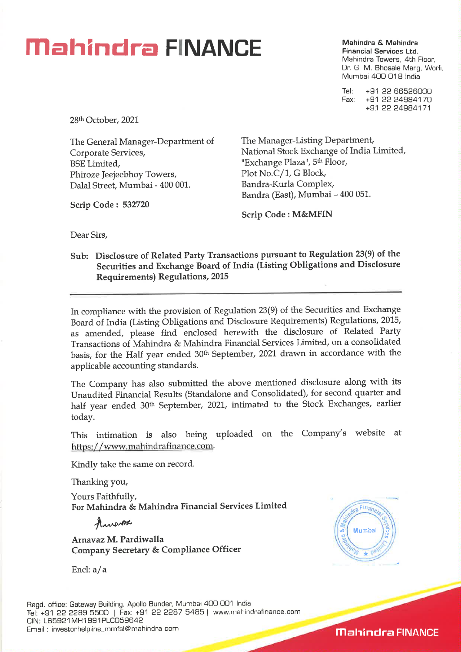## **Mahindra & Mahindra & Mahindra & Mahindra**

**Financial Services Ltd.**  Mahindra Towers, 4th Floor, Dr. G. M. Bhosale Marg, Worli, Mumbai 400 018 India

Tel: +91 22 66526000<br>Fax: +91 22 24984170 Fax: +91 22 24984170 +91 22 24984171

28th October, 2021

The General Manager-Department of Corporate Services, BSE Limited, Phiroze Jeejeebhoy Towers, Dalai Street, Mumbai - 400 001.

**Scrip Code : 532720** 

The Manager-Listing Department, National Stock Exchange of India Limited, "Exchange Plaza", 5<sup>th</sup> Floor, Plot No.C/1, G Block, Bandra-Kurla Complex, Bandra (East), Mumbai - 400 051.

**Scrip Code : M&MFIN** 

Dear Sirs,

**Sub: Disclosure of Related Party Transactions pursuant to Regulation 23(9) of the Securities and Exchange Board of India (Listing Obligations and Disclosure Requirements) Regulations, 2015** 

In compliance with the provision of Regulation 23(9) of the Securities and Exchange Board of India (Listing Obligations and Disclosure Requirements) Regulations, 2015, as amended, please find enclosed herewith the disclosure of Related Party Transactions of Mahindra & Mahindra Financial Services Limited, on a consolidated basis, for the Half year ended 30th September, 2021 drawn in accordance with the applicable accounting standards.

The Company has also submitted the above mentioned disclosure along with its Unaudited Financial Results (Standalone and Consolidated), for second quarter and half year ended 30<sup>th</sup> September, 2021, intimated to the Stock Exchanges, earlier today.

This intimation is also being uploaded on the Company's website at https://www.mahindrafinance.com.

Kindly take the same on record.

Thanking you,

Yours Faithfully, **For Mahindra & Mahindra Financial Services Limited** 

**AnA,PAPA'** 

**Arnavaz M. Pardiwalla Company Secretary** *&* **Compliance Officer** 

Encl:  $a/a$ 



**Mahindra FINANCE**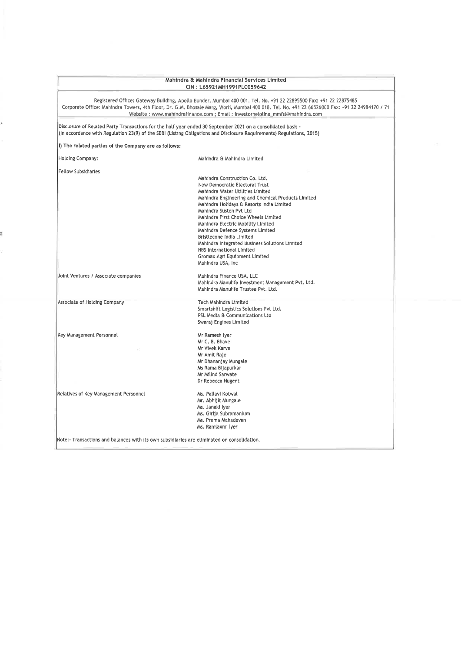| Mahindra & Mahindra Financial Services Limited<br>CIN: L65921MH1991PLC059642 |                                                                                                                                                                                                                                                                                                                                                                                                                                                                                                                                |  |  |  |  |  |  |
|------------------------------------------------------------------------------|--------------------------------------------------------------------------------------------------------------------------------------------------------------------------------------------------------------------------------------------------------------------------------------------------------------------------------------------------------------------------------------------------------------------------------------------------------------------------------------------------------------------------------|--|--|--|--|--|--|
|                                                                              | Registered Office: Gateway Building, Apollo Bunder, Mumbai 400 001. Tel. No. +91 22 22895500 Fax: +91 22 22875485<br>Corporate Office: Mahindra Towers, 4th Floor, Dr. G.M. Bhosale Marg, Worli, Mumbai 400 018. Tel. No. +91 22 66526000 Fax: +91 22 24984170 / 71<br>Website: www.mahindrafinance.com ; Email: investorhelpline_mmfsl@mahindra.com                                                                                                                                                                           |  |  |  |  |  |  |
|                                                                              | Disclosure of Related Party Transactions for the half year ended 30 September 2021 on a consolidated basis -<br>(In accordance with Regulation 23(9) of the SEBI (Listing Obligations and Disclosure Requirements) Regulations, 2015)                                                                                                                                                                                                                                                                                          |  |  |  |  |  |  |
| 1) The related parties of the Company are as follows:                        |                                                                                                                                                                                                                                                                                                                                                                                                                                                                                                                                |  |  |  |  |  |  |
| Holding Company:                                                             | Mahindra & Mahindra Limited                                                                                                                                                                                                                                                                                                                                                                                                                                                                                                    |  |  |  |  |  |  |
| <b>Fellow Subsidiaries</b>                                                   | Mahindra Construction Co. Ltd.<br>New Democratic Electoral Trust<br>Mahindra Water Utilities Limited<br>Mahindra Engineering and Chemical Products Limited<br>Mahindra Holidays & Resorts India Limited<br>Mahindra Susten Pvt Ltd<br>Mahindra First Choice Wheels Limited<br>Mahindra Electric Mobility Limited<br>Mahindra Defence Systems Limited<br>Bristlecone India Limited<br>Mahindra Integrated Business Solutions Limited<br><b>NBS International Limited</b><br>Gromax Agri Equipment Limited<br>Mahindra USA, Inc. |  |  |  |  |  |  |
| Joint Ventures / Associate companies                                         | Mahindra Finance USA, LLC<br>Mahindra Manulife Investment Management Pvt. Ltd.<br>Mahindra Manulife Trustee Pyt. Ltd.                                                                                                                                                                                                                                                                                                                                                                                                          |  |  |  |  |  |  |
| Associate of Holding Company                                                 | Tech Mahindra Limited<br>Smartshift Logistics Solutions Pvt Ltd.<br>PSL Media & Communications Ltd<br>Swaraj Engines Limited                                                                                                                                                                                                                                                                                                                                                                                                   |  |  |  |  |  |  |
| Key Management Personnel                                                     | Mr Ramesh Iyer<br>Mr C. B. Bhave<br>Mr Vivek Karve<br>Mr Amit Raje<br>Mr Dhananjay Mungale<br>Ms Rama Bijapurkar<br>Mr Milind Sarwate<br>Dr Rebecca Nugent                                                                                                                                                                                                                                                                                                                                                                     |  |  |  |  |  |  |
| Relatives of Key Management Personnel                                        | Ms. Pallavi Kotwal<br>Mr. Abhijit Mungale<br>Ms. Janaki iyer<br>Ms. Girija Subramanium<br>Ms. Prema Mahadevan<br>Ms. Ramlaxmi iyer                                                                                                                                                                                                                                                                                                                                                                                             |  |  |  |  |  |  |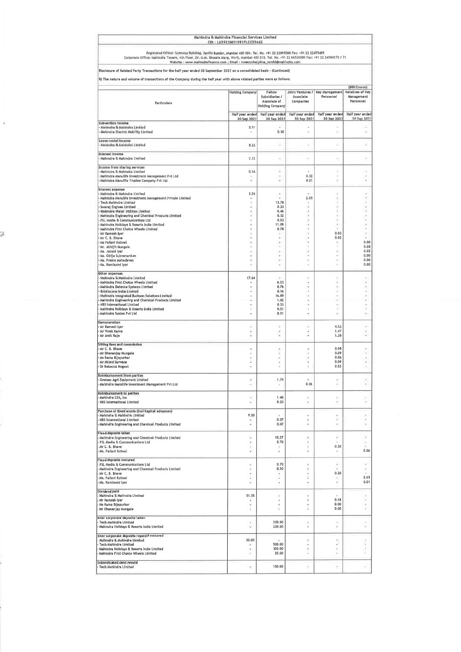|                                                                                                                                                                                                                                                                     | Mahindra & Mahindra Financial Services Limited<br>CIN: L65921MH1991PLC059642    |                                                          |                                                                                                                                        |                                                      |                         |  |  |  |
|---------------------------------------------------------------------------------------------------------------------------------------------------------------------------------------------------------------------------------------------------------------------|---------------------------------------------------------------------------------|----------------------------------------------------------|----------------------------------------------------------------------------------------------------------------------------------------|------------------------------------------------------|-------------------------|--|--|--|
| Registered Office: Gateway Building, Apollo Bunder, Mumbal 400 001. Tol. No. +91 22 22895500 Fax: +91 22 22875485<br>Corporate Office: Mahindra Towers, 4th Floor, Dr. G.M. Bhosale Marg, Worli, Mumbai 400 018. Tel. No. +91 22 66526000 Fax: +91 22 24984170 / 71 | Website : www.mahindrafinance.com ; Email : investorhelpline_mmfsl@mahindra.com |                                                          |                                                                                                                                        |                                                      |                         |  |  |  |
| Disclosure of Related Party Transactions for the half year ended 30 September 2021 on a consolidated basis - (Continued)                                                                                                                                            |                                                                                 |                                                          |                                                                                                                                        |                                                      |                         |  |  |  |
| il) The nature and volume of transactions of the Company during the half year with above related parties were as follows:                                                                                                                                           |                                                                                 |                                                          |                                                                                                                                        |                                                      | (INR Crores)            |  |  |  |
|                                                                                                                                                                                                                                                                     | <b>Holding Company</b>                                                          | Fellow                                                   |                                                                                                                                        | Joint Ventures /   Key Management   Relatives of Key |                         |  |  |  |
| <b>Particulars</b>                                                                                                                                                                                                                                                  |                                                                                 | Subsidiaries /<br>Associate of<br><b>Holding Company</b> | Associate<br>Companies                                                                                                                 | Personnel                                            | Management<br>Personnel |  |  |  |
|                                                                                                                                                                                                                                                                     | Half year ended                                                                 | Half year ended                                          | Half year ended                                                                                                                        | Half year ended                                      | Half year ended         |  |  |  |
| Subvention income                                                                                                                                                                                                                                                   | 30 Sep 2021                                                                     | 30 Sep 2021                                              | 30 Sep 2021                                                                                                                            | 30 Sep 2021                                          | 30 Sep 2021             |  |  |  |
| Mahindra & Mahindra Limited<br>Mahindra Electric Mobility Limited                                                                                                                                                                                                   | 8.91                                                                            | u<br>0.30                                                | $\;$                                                                                                                                   | ÷<br>v                                               | ž,                      |  |  |  |
| Lease rental income<br>Mahindra & Mahindra Lunited                                                                                                                                                                                                                  | 8.22                                                                            | ÷                                                        | v                                                                                                                                      | ź                                                    | ¥                       |  |  |  |
| interest income<br>- Mahindra & Mahindra Limited                                                                                                                                                                                                                    | 2.12                                                                            |                                                          | ×                                                                                                                                      | $\overline{a}$                                       | ×                       |  |  |  |
| income from sharing services<br>Mahindra B. Mahindra Limited                                                                                                                                                                                                        | 0.14                                                                            | 7                                                        |                                                                                                                                        | a.                                                   | ۰                       |  |  |  |
| Mahindra Manulife Investment Management Pvt Ltd                                                                                                                                                                                                                     |                                                                                 | ×.                                                       | 0.32                                                                                                                                   | $\overline{\phantom{a}}$                             | ٠                       |  |  |  |
| Mahindra Manulife Trustee Company Pvt Ltd                                                                                                                                                                                                                           | ÷                                                                               |                                                          | 0.01                                                                                                                                   |                                                      |                         |  |  |  |
| Interest expense<br>Mahindra & Mahindra Limited                                                                                                                                                                                                                     | 3.74                                                                            |                                                          |                                                                                                                                        |                                                      |                         |  |  |  |
| Mahindra Manulife Investment Management Private Limited                                                                                                                                                                                                             |                                                                                 |                                                          | 2.05                                                                                                                                   | ¥                                                    | ï                       |  |  |  |
| Tech Mahindra Limited<br>Swaraj Engines Limited                                                                                                                                                                                                                     |                                                                                 | 13.78<br>0.33                                            | Ξ                                                                                                                                      | ¥<br>¥                                               | ×<br>¥                  |  |  |  |
| Mahindra Water Utilities Limited                                                                                                                                                                                                                                    |                                                                                 | 0.46<br>0.32                                             | ä<br>ï                                                                                                                                 | ç<br>ù,                                              | ×<br>$\;$               |  |  |  |
| Mahindra Engineering and Chemical Products Limited<br>PSL Media & Communications Ltd                                                                                                                                                                                |                                                                                 | 0.03                                                     |                                                                                                                                        | s                                                    | c                       |  |  |  |
| Mahindra Holidays & Resorts India Limited<br>Mahindra First Choice Wheels Limited                                                                                                                                                                                   |                                                                                 | 11.89<br>0.78                                            |                                                                                                                                        | ν                                                    | $\epsilon$<br>٠         |  |  |  |
| Mr Ramesh Iver                                                                                                                                                                                                                                                      |                                                                                 | $\sim$                                                   |                                                                                                                                        | 0.03                                                 | $\alpha$                |  |  |  |
| Mr C. B. Bhave<br>Ms Pallavi Kotwal                                                                                                                                                                                                                                 |                                                                                 | ٠                                                        |                                                                                                                                        | 0.02                                                 | í a<br>0.00             |  |  |  |
| Mr. Abhijit Mungale                                                                                                                                                                                                                                                 |                                                                                 | ×.                                                       | ٠                                                                                                                                      | ï                                                    | 0.08                    |  |  |  |
| Ms. Janaki iyer                                                                                                                                                                                                                                                     |                                                                                 | ٠                                                        |                                                                                                                                        | ¥.<br>ï                                              | 0.05<br>0.00            |  |  |  |
| Ms. Girlja Subramanium<br>Ms. Prema Mahadevan                                                                                                                                                                                                                       |                                                                                 | $\sim$                                                   | $\overline{a}$                                                                                                                         | ×                                                    | 0.00                    |  |  |  |
| -Ms. Ramlaxmi Iyer                                                                                                                                                                                                                                                  |                                                                                 |                                                          |                                                                                                                                        |                                                      | 0.00                    |  |  |  |
| Other expenses<br>Mahindra & Mahindra Limited                                                                                                                                                                                                                       | 17.64                                                                           | n.                                                       |                                                                                                                                        |                                                      |                         |  |  |  |
| Mahindra First Choice Wheels Limited<br>Mahindra Defence Systems Limited                                                                                                                                                                                            | ×                                                                               | 6.23<br>0.76                                             |                                                                                                                                        | ä<br>×                                               | ×<br>٠                  |  |  |  |
| <b>Bristlecone India Limited</b>                                                                                                                                                                                                                                    |                                                                                 | 0.16                                                     |                                                                                                                                        | ä                                                    | ×                       |  |  |  |
| Mahindra Integrated Business Solutions Limited<br>Mahindra Engineering and Chemical Products Limited                                                                                                                                                                |                                                                                 | 16.89<br>1.62                                            |                                                                                                                                        | k                                                    | ×                       |  |  |  |
| NBS International Limited                                                                                                                                                                                                                                           |                                                                                 | 0.33                                                     |                                                                                                                                        | ٠                                                    | ٠                       |  |  |  |
| Mahindra Holidays & Resorts India Limited<br>Mahindra Susten Pvt Ltd                                                                                                                                                                                                |                                                                                 | 0,01<br>0.01                                             |                                                                                                                                        | ï<br>×,                                              | ٠<br>×                  |  |  |  |
| Remuneration                                                                                                                                                                                                                                                        |                                                                                 |                                                          |                                                                                                                                        |                                                      |                         |  |  |  |
| Mr Ramesh Iyer<br>Mr Vivek Karve                                                                                                                                                                                                                                    | ۰                                                                               | ÷<br>×                                                   | ٠<br>$\begin{array}{c} \begin{array}{c} \begin{array}{c} \begin{array}{c} \end{array} \end{array} \end{array} \end{array} \end{array}$ | 4.53<br>1.47                                         | ٠<br>٠                  |  |  |  |
| Mr Amit Raje                                                                                                                                                                                                                                                        |                                                                                 |                                                          |                                                                                                                                        | 1,38                                                 |                         |  |  |  |
| Sitting fees and commission<br>Mr C. B. Bhave                                                                                                                                                                                                                       |                                                                                 |                                                          |                                                                                                                                        | 0.08                                                 |                         |  |  |  |
| Mr Dhananjay Mungale                                                                                                                                                                                                                                                | ä                                                                               | ÷                                                        | ü                                                                                                                                      | 0.09                                                 | ٠                       |  |  |  |
| Ms Rama Bijapurkar<br>Mr Milind Sarwate                                                                                                                                                                                                                             | ٠<br>¥                                                                          | ×<br>ä                                                   |                                                                                                                                        | 0.06<br>0.09                                         | ٠<br>à,                 |  |  |  |
| Dr Rebecca Nugent                                                                                                                                                                                                                                                   |                                                                                 |                                                          |                                                                                                                                        | 0.03                                                 |                         |  |  |  |
| <b>Reimbursement from partles</b><br><b>Gromax Agri Equipment Limited</b>                                                                                                                                                                                           | ×                                                                               | 1.79                                                     |                                                                                                                                        | ٠                                                    |                         |  |  |  |
| Mahindra Manulife investment Management Pvt Ltd<br>Reimbursement to parties                                                                                                                                                                                         |                                                                                 | ×                                                        | 0.06                                                                                                                                   |                                                      |                         |  |  |  |
| Mahindra USA, Inc.<br>NBS International Limited                                                                                                                                                                                                                     | ¥.<br>٠                                                                         | 1.48<br>0.20                                             | ×<br>٠                                                                                                                                 | ¥.<br>ï                                              | ٠                       |  |  |  |
| Purchase of fixed assets (incl Capital advances)                                                                                                                                                                                                                    |                                                                                 |                                                          |                                                                                                                                        |                                                      |                         |  |  |  |
| Mahindra & Mahindra Limited<br>NBS International Limited                                                                                                                                                                                                            | 9.50                                                                            | 0.07                                                     | ٠                                                                                                                                      | s                                                    | ٠                       |  |  |  |
| Aahindra Engineering and Chemical Products Limited                                                                                                                                                                                                                  | ¥                                                                               | 0.07                                                     | 2                                                                                                                                      | ö                                                    | ×                       |  |  |  |
| <b>Fixed deposits taken</b><br>- Mahindra Engineering and Chemical Products Limited                                                                                                                                                                                 |                                                                                 | 10.27                                                    | ÷                                                                                                                                      | 2                                                    | ٠                       |  |  |  |
| PSL Media B. Communications Ltd                                                                                                                                                                                                                                     | ì,                                                                              | 0.70                                                     | ï                                                                                                                                      |                                                      | ٠                       |  |  |  |
| Mr C. B. Bhave<br>Ms. Pallavi Kotwal                                                                                                                                                                                                                                | ٠<br>z                                                                          | ٠                                                        | 2                                                                                                                                      | 0.30<br>$\sim$                                       | 0.06                    |  |  |  |
| <b>Fixed deposits matured</b>                                                                                                                                                                                                                                       | i.                                                                              | 0.70                                                     | ٠                                                                                                                                      | ۰                                                    | ٠                       |  |  |  |
| PSL Media & Communications Ltd<br>Mahindra Engineering and Chemical Products Limited                                                                                                                                                                                | ś                                                                               | 0.20                                                     | ÷                                                                                                                                      |                                                      | $\epsilon$              |  |  |  |
| Mr C. B. Bhave                                                                                                                                                                                                                                                      | ٠<br>r.                                                                         | ٠                                                        | ٠<br>s                                                                                                                                 | 0.30                                                 | 0.05                    |  |  |  |
| Ms. Pallavi Kotwal<br>-Ms. Ramlaxmi iyer                                                                                                                                                                                                                            |                                                                                 | ٠<br>٠                                                   | ٠                                                                                                                                      |                                                      | 0.01                    |  |  |  |
| Dividend paid                                                                                                                                                                                                                                                       |                                                                                 |                                                          |                                                                                                                                        |                                                      |                         |  |  |  |
| - Mahindra & Mahindra Limited                                                                                                                                                                                                                                       | 51.55                                                                           | è                                                        | ٠                                                                                                                                      |                                                      |                         |  |  |  |
| Mr Ramesh Iyer<br>Ms Rama Bijapurkar                                                                                                                                                                                                                                | i.                                                                              | ٠<br>s,                                                  | ï<br>u                                                                                                                                 | 0.18<br>0.00                                         | ٠<br>٠                  |  |  |  |
| Mr Dhananjay Mungale                                                                                                                                                                                                                                                |                                                                                 | ä                                                        | ÷                                                                                                                                      | 0.00                                                 |                         |  |  |  |
| inter corporate deposits taken<br><b>Tech Mahindre Limited</b><br>Mahindra Holidays & Resorts India Limited                                                                                                                                                         | ×                                                                               | 200.00<br>230.00                                         | ٠<br>×                                                                                                                                 | ¥<br>u.                                              | ٠                       |  |  |  |
| Inter corporate deposits repaid / matured                                                                                                                                                                                                                           |                                                                                 |                                                          |                                                                                                                                        |                                                      |                         |  |  |  |
| Mahindra B. Mahindra Limited<br>Tech Mahindra Limited                                                                                                                                                                                                               | 50.00                                                                           | 500.00                                                   | ¥<br>Q                                                                                                                                 | z                                                    | ä                       |  |  |  |
| Mahindra Holidays & Resorts India Limited                                                                                                                                                                                                                           | ٠                                                                               | 320.00                                                   | ٠                                                                                                                                      | $\alpha$ .                                           | ×,                      |  |  |  |
| Mahindra First Choice Wheels Limited                                                                                                                                                                                                                                | ç.                                                                              | 25.00                                                    | ä                                                                                                                                      |                                                      |                         |  |  |  |
| Subordinated debt repaid<br>Tech Mahindra Limited                                                                                                                                                                                                                   | ŕ.                                                                              | 150.00                                                   | $\,$                                                                                                                                   | ٠                                                    | ×,                      |  |  |  |
|                                                                                                                                                                                                                                                                     |                                                                                 |                                                          |                                                                                                                                        |                                                      |                         |  |  |  |